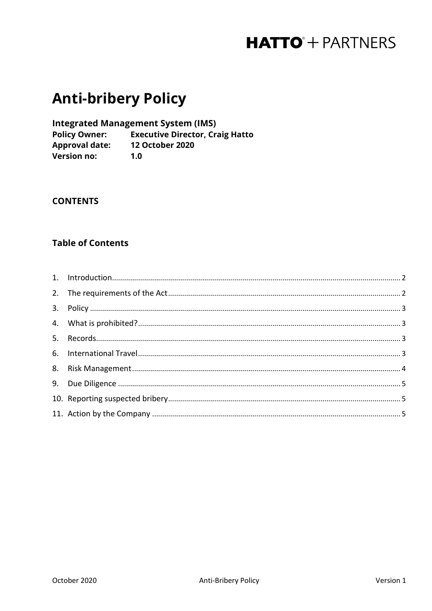## **Anti-bribery Policy**

**Integrated Management System (IMS)** 

**Policy Owner:** Executive Director, Craig Hatto **Puncy 200**<br>Approval date: 12 October 2020 Version no:  $1.0$ 

#### **CONTENTS**

### **Table of Contents**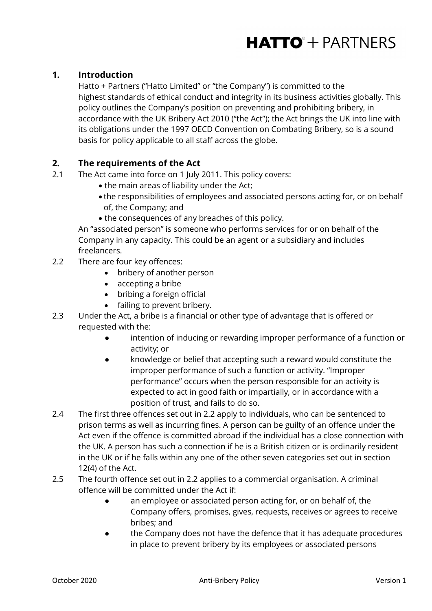## <span id="page-1-0"></span>**1. Introduction**

Hatto + Partners ("Hatto Limited" or "the Company") is committed to the highest standards of ethical conduct and integrity in its business activities globally. This policy outlines the Company's position on preventing and prohibiting bribery, in accordance with the UK Bribery Act 2010 ("the Act"); the Act brings the UK into line with its obligations under the 1997 OECD Convention on Combating Bribery, so is a sound basis for policy applicable to all staff across the globe.

### <span id="page-1-1"></span>**2. The requirements of the Act**

- 2.1 The Act came into force on 1 July 2011. This policy covers:
	- the main areas of liability under the Act;
	- the responsibilities of employees and associated persons acting for, or on behalf of, the Company; and
	- the consequences of any breaches of this policy.

An "associated person" is someone who performs services for or on behalf of the Company in any capacity. This could be an agent or a subsidiary and includes freelancers.

- 2.2 There are four key offences:
	- bribery of another person
	- accepting a bribe
	- bribing a foreign official
	- failing to prevent bribery.
- 2.3 Under the Act, a bribe is a financial or other type of advantage that is offered or requested with the:
	- intention of inducing or rewarding improper performance of a function or activity; or
	- knowledge or belief that accepting such a reward would constitute the improper performance of such a function or activity. "Improper performance" occurs when the person responsible for an activity is expected to act in good faith or impartially, or in accordance with a position of trust, and fails to do so.
- 2.4 The first three offences set out in 2.2 apply to individuals, who can be sentenced to prison terms as well as incurring fines. A person can be guilty of an offence under the Act even if the offence is committed abroad if the individual has a close connection with the UK. A person has such a connection if he is a British citizen or is ordinarily resident in the UK or if he falls within any one of the other seven categories set out in section 12(4) of the Act.
- 2.5 The fourth offence set out in 2.2 applies to a commercial organisation. A criminal offence will be committed under the Act if:
	- an employee or associated person acting for, or on behalf of, the Company offers, promises, gives, requests, receives or agrees to receive bribes; and
	- the Company does not have the defence that it has adequate procedures in place to prevent bribery by its employees or associated persons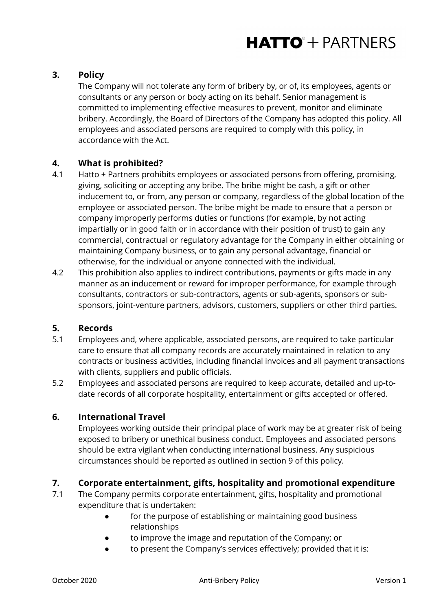## <span id="page-2-0"></span>**3. Policy**

The Company will not tolerate any form of bribery by, or of, its employees, agents or consultants or any person or body acting on its behalf. Senior management is committed to implementing effective measures to prevent, monitor and eliminate bribery. Accordingly, the Board of Directors of the Company has adopted this policy. All employees and associated persons are required to comply with this policy, in accordance with the Act.

### <span id="page-2-1"></span>**4. What is prohibited?**

- 4.1 Hatto + Partners prohibits employees or associated persons from offering, promising, giving, soliciting or accepting any bribe. The bribe might be cash, a gift or other inducement to, or from, any person or company, regardless of the global location of the employee or associated person. The bribe might be made to ensure that a person or company improperly performs duties or functions (for example, by not acting impartially or in good faith or in accordance with their position of trust) to gain any commercial, contractual or regulatory advantage for the Company in either obtaining or maintaining Company business, or to gain any personal advantage, financial or otherwise, for the individual or anyone connected with the individual.
- 4.2 This prohibition also applies to indirect contributions, payments or gifts made in any manner as an inducement or reward for improper performance, for example through consultants, contractors or sub-contractors, agents or sub-agents, sponsors or subsponsors, joint-venture partners, advisors, customers, suppliers or other third parties.

#### <span id="page-2-2"></span>**5. Records**

- 5.1 Employees and, where applicable, associated persons, are required to take particular care to ensure that all company records are accurately maintained in relation to any contracts or business activities, including financial invoices and all payment transactions with clients, suppliers and public officials.
- 5.2 Employees and associated persons are required to keep accurate, detailed and up-todate records of all corporate hospitality, entertainment or gifts accepted or offered.

#### <span id="page-2-3"></span>**6. International Travel**

Employees working outside their principal place of work may be at greater risk of being exposed to bribery or unethical business conduct. Employees and associated persons should be extra vigilant when conducting international business. Any suspicious circumstances should be reported as outlined in section 9 of this policy.

#### **7. Corporate entertainment, gifts, hospitality and promotional expenditure**

- 7.1 The Company permits corporate entertainment, gifts, hospitality and promotional expenditure that is undertaken:
	- for the purpose of establishing or maintaining good business relationships
	- to improve the image and reputation of the Company; or
	- to present the Company's services effectively; provided that it is: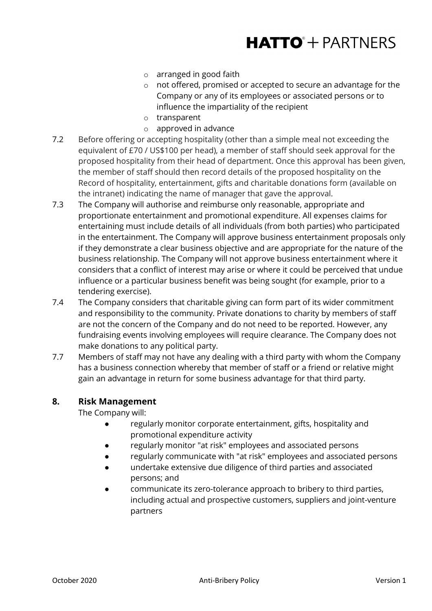- o arranged in good faith
- o not offered, promised or accepted to secure an advantage for the Company or any of its employees or associated persons or to influence the impartiality of the recipient
- o transparent
- o approved in advance
- 7.2 Before offering or accepting hospitality (other than a simple meal not exceeding the equivalent of £70 / US\$100 per head), a member of staff should seek approval for the proposed hospitality from their head of department. Once this approval has been given, the member of staff should then record details of the proposed hospitality on the Record of hospitality, entertainment, gifts and charitable donations form (available on the intranet) indicating the name of manager that gave the approval.
- 7.3 The Company will authorise and reimburse only reasonable, appropriate and proportionate entertainment and promotional expenditure. All expenses claims for entertaining must include details of all individuals (from both parties) who participated in the entertainment. The Company will approve business entertainment proposals only if they demonstrate a clear business objective and are appropriate for the nature of the business relationship. The Company will not approve business entertainment where it considers that a conflict of interest may arise or where it could be perceived that undue influence or a particular business benefit was being sought (for example, prior to a tendering exercise).
- 7.4 The Company considers that charitable giving can form part of its wider commitment and responsibility to the community. Private donations to charity by members of staff are not the concern of the Company and do not need to be reported. However, any fundraising events involving employees will require clearance. The Company does not make donations to any political party.
- 7.7 Members of staff may not have any dealing with a third party with whom the Company has a business connection whereby that member of staff or a friend or relative might gain an advantage in return for some business advantage for that third party.

#### <span id="page-3-0"></span>**8. Risk Management**

The Company will:

- regularly monitor corporate entertainment, gifts, hospitality and promotional expenditure activity
- regularly monitor "at risk" employees and associated persons
- regularly communicate with "at risk" employees and associated persons
- undertake extensive due diligence of third parties and associated persons; and
- communicate its zero-tolerance approach to bribery to third parties, including actual and prospective customers, suppliers and joint-venture partners